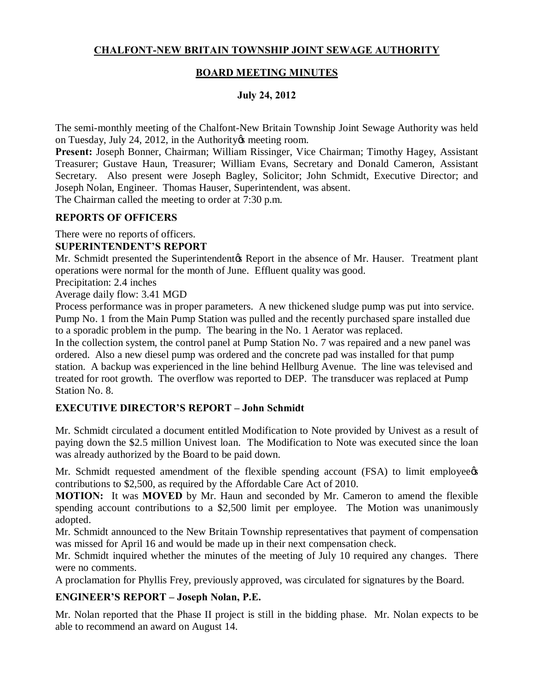# **CHALFONT-NEW BRITAIN TOWNSHIP JOINT SEWAGE AUTHORITY**

### **BOARD MEETING MINUTES**

### **July 24, 2012**

The semi-monthly meeting of the Chalfont-New Britain Township Joint Sewage Authority was held on Tuesday, July 24, 2012, in the Authority & meeting room.

**Present:** Joseph Bonner, Chairman; William Rissinger, Vice Chairman; Timothy Hagey, Assistant Treasurer; Gustave Haun, Treasurer; William Evans, Secretary and Donald Cameron, Assistant Secretary. Also present were Joseph Bagley, Solicitor; John Schmidt, Executive Director; and Joseph Nolan, Engineer. Thomas Hauser, Superintendent, was absent.

The Chairman called the meeting to order at 7:30 p.m.

### **REPORTS OF OFFICERS**

There were no reports of officers.

### **SUPERINTENDENT'S REPORT**

Mr. Schmidt presented the Superintendent & Report in the absence of Mr. Hauser. Treatment plant operations were normal for the month of June. Effluent quality was good.

Precipitation: 2.4 inches

Average daily flow: 3.41 MGD

Process performance was in proper parameters. A new thickened sludge pump was put into service. Pump No. 1 from the Main Pump Station was pulled and the recently purchased spare installed due to a sporadic problem in the pump. The bearing in the No. 1 Aerator was replaced.

In the collection system, the control panel at Pump Station No. 7 was repaired and a new panel was ordered. Also a new diesel pump was ordered and the concrete pad was installed for that pump station. A backup was experienced in the line behind Hellburg Avenue. The line was televised and treated for root growth. The overflow was reported to DEP. The transducer was replaced at Pump Station No. 8.

### **EXECUTIVE DIRECTOR'S REPORT – John Schmidt**

Mr. Schmidt circulated a document entitled Modification to Note provided by Univest as a result of paying down the \$2.5 million Univest loan. The Modification to Note was executed since the loan was already authorized by the Board to be paid down.

Mr. Schmidt requested amendment of the flexible spending account (FSA) to limit employee  $\alpha$ contributions to \$2,500, as required by the Affordable Care Act of 2010.

**MOTION:** It was **MOVED** by Mr. Haun and seconded by Mr. Cameron to amend the flexible spending account contributions to a \$2,500 limit per employee. The Motion was unanimously adopted.

Mr. Schmidt announced to the New Britain Township representatives that payment of compensation was missed for April 16 and would be made up in their next compensation check.

Mr. Schmidt inquired whether the minutes of the meeting of July 10 required any changes. There were no comments.

A proclamation for Phyllis Frey, previously approved, was circulated for signatures by the Board.

# **ENGINEER'S REPORT – Joseph Nolan, P.E.**

Mr. Nolan reported that the Phase II project is still in the bidding phase. Mr. Nolan expects to be able to recommend an award on August 14.